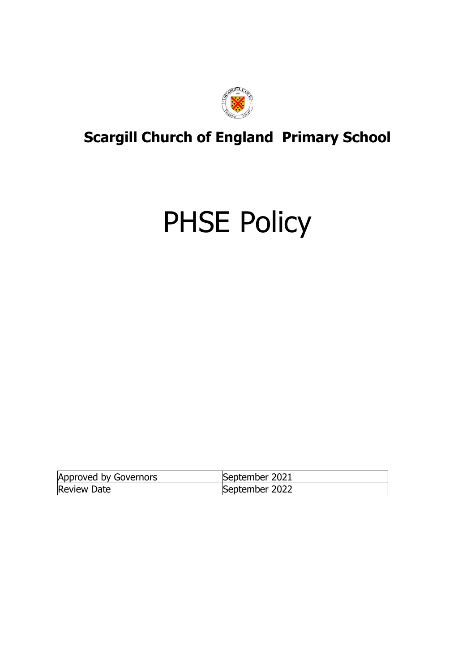

## **Scargill Church of England Primary School**

# PHSE Policy

| Approved by Governors | September 2021 |
|-----------------------|----------------|
| <b>Review Date</b>    | September 2022 |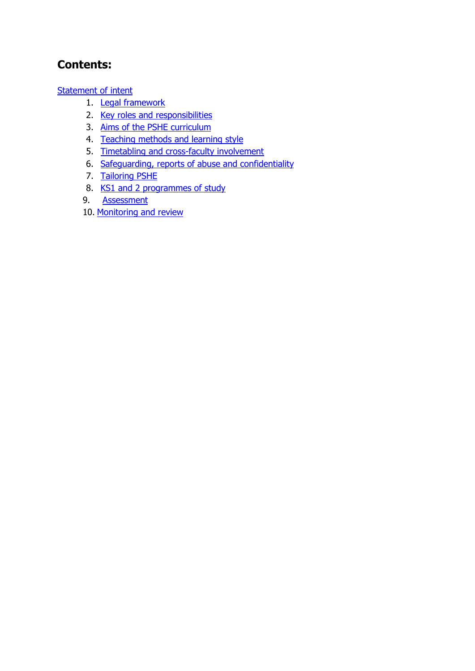## **Contents:**

[Statement of intent](#page-2-0)

- 1. [Legal framework](#page-3-0)
- 2. [Key roles and responsibilities](#page-3-1)
- 3. [Aims of the PSHE curriculum](#page-4-0)
- 4. [Teaching methods and learning style](#page-4-1)
- 5. [Timetabling and cross-faculty involvement](#page-5-0)
- 6. [Safeguarding, reports of abuse](#page-5-1) and confidentiality
- 7. [Tailoring PSHE](#page-7-0)
- 8. KS1 and 2 programmes of study
- 9. [Assessment](#page-14-0)
- 10. [Monitoring and review](#page-14-1)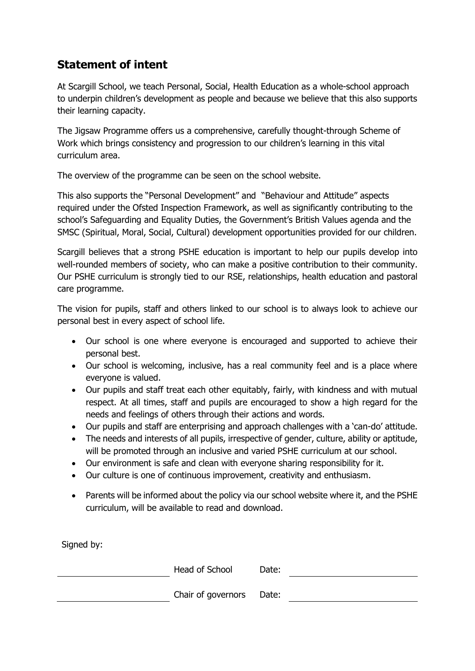## <span id="page-2-0"></span>**Statement of intent**

At Scargill School, we teach Personal, Social, Health Education as a whole-school approach to underpin children's development as people and because we believe that this also supports their learning capacity.

The Jigsaw Programme offers us a comprehensive, carefully thought-through Scheme of Work which brings consistency and progression to our children's learning in this vital curriculum area.

The overview of the programme can be seen on the school website.

This also supports the "Personal Development" and "Behaviour and Attitude" aspects required under the Ofsted Inspection Framework, as well as significantly contributing to the school's Safeguarding and Equality Duties, the Government's British Values agenda and the SMSC (Spiritual, Moral, Social, Cultural) development opportunities provided for our children.

Scargill believes that a strong PSHE education is important to help our pupils develop into well-rounded members of society, who can make a positive contribution to their community. Our PSHE curriculum is strongly tied to our RSE, relationships, health education and pastoral care programme.

The vision for pupils, staff and others linked to our school is to always look to achieve our personal best in every aspect of school life.

- Our school is one where everyone is encouraged and supported to achieve their personal best.
- Our school is welcoming, inclusive, has a real community feel and is a place where everyone is valued.
- Our pupils and staff treat each other equitably, fairly, with kindness and with mutual respect. At all times, staff and pupils are encouraged to show a high regard for the needs and feelings of others through their actions and words.
- Our pupils and staff are enterprising and approach challenges with a 'can-do' attitude.
- The needs and interests of all pupils, irrespective of gender, culture, ability or aptitude, will be promoted through an inclusive and varied PSHE curriculum at our school.
- Our environment is safe and clean with everyone sharing responsibility for it.
- Our culture is one of continuous improvement, creativity and enthusiasm.
- Parents will be informed about the policy via our school website where it, and the PSHE curriculum, will be available to read and download.

Signed by:

| Head of School           | Date: |  |
|--------------------------|-------|--|
| Chair of governors Date: |       |  |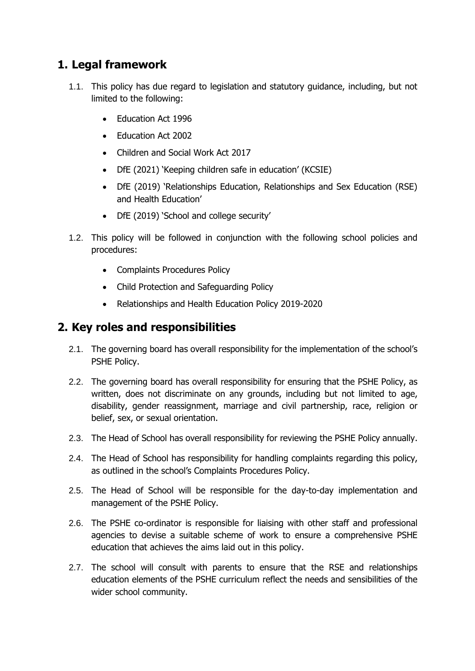## <span id="page-3-0"></span>**1. Legal framework**

- 1.1. This policy has due regard to legislation and statutory guidance, including, but not limited to the following:
	- Education Act 1996
	- Education Act 2002
	- Children and Social Work Act 2017
	- DfE (2021) 'Keeping children safe in education' (KCSIE)
	- DfE (2019) 'Relationships Education, Relationships and Sex Education (RSE) and Health Education'
	- DfE (2019) 'School and college security'
- 1.2. This policy will be followed in conjunction with the following school policies and procedures:
	- Complaints Procedures Policy
	- Child Protection and Safeguarding Policy
	- Relationships and Health Education Policy 2019-2020

### <span id="page-3-1"></span>**2. Key roles and responsibilities**

- 2.1. The governing board has overall responsibility for the implementation of the school's PSHE Policy.
- 2.2. The governing board has overall responsibility for ensuring that the PSHE Policy, as written, does not discriminate on any grounds, including but not limited to age, disability, gender reassignment, marriage and civil partnership, race, religion or belief, sex, or sexual orientation.
- 2.3. The Head of School has overall responsibility for reviewing the PSHE Policy annually.
- 2.4. The Head of School has responsibility for handling complaints regarding this policy, as outlined in the school's Complaints Procedures Policy.
- 2.5. The Head of School will be responsible for the day-to-day implementation and management of the PSHE Policy.
- 2.6. The PSHE co-ordinator is responsible for liaising with other staff and professional agencies to devise a suitable scheme of work to ensure a comprehensive PSHE education that achieves the aims laid out in this policy.
- 2.7. The school will consult with parents to ensure that the RSE and relationships education elements of the PSHE curriculum reflect the needs and sensibilities of the wider school community.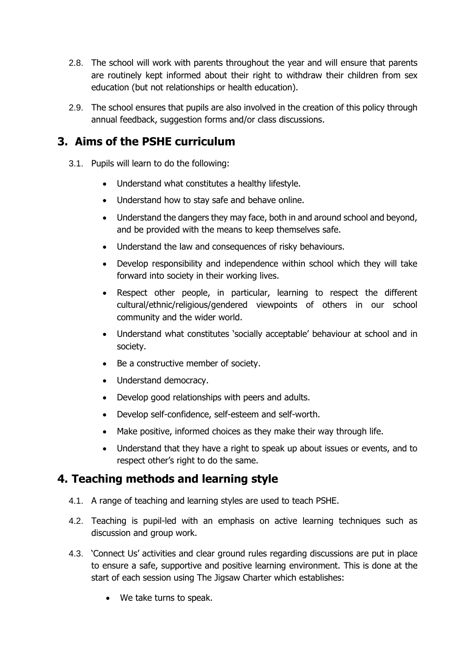- 2.8. The school will work with parents throughout the year and will ensure that parents are routinely kept informed about their right to withdraw their children from sex education (but not relationships or health education).
- 2.9. The school ensures that pupils are also involved in the creation of this policy through annual feedback, suggestion forms and/or class discussions.

## <span id="page-4-0"></span>**3. Aims of the PSHE curriculum**

- 3.1. Pupils will learn to do the following:
	- Understand what constitutes a healthy lifestyle.
	- Understand how to stay safe and behave online.
	- Understand the dangers they may face, both in and around school and beyond, and be provided with the means to keep themselves safe.
	- Understand the law and consequences of risky behaviours.
	- Develop responsibility and independence within school which they will take forward into society in their working lives.
	- Respect other people, in particular, learning to respect the different cultural/ethnic/religious/gendered viewpoints of others in our school community and the wider world.
	- Understand what constitutes 'socially acceptable' behaviour at school and in society.
	- Be a constructive member of society.
	- Understand democracy.
	- Develop good relationships with peers and adults.
	- Develop self-confidence, self-esteem and self-worth.
	- Make positive, informed choices as they make their way through life.
	- Understand that they have a right to speak up about issues or events, and to respect other's right to do the same.

## <span id="page-4-1"></span>**4. Teaching methods and learning style**

- 4.1. A range of teaching and learning styles are used to teach PSHE.
- 4.2. Teaching is pupil-led with an emphasis on active learning techniques such as discussion and group work.
- 4.3. 'Connect Us' activities and clear ground rules regarding discussions are put in place to ensure a safe, supportive and positive learning environment. This is done at the start of each session using The Jigsaw Charter which establishes:
	- We take turns to speak.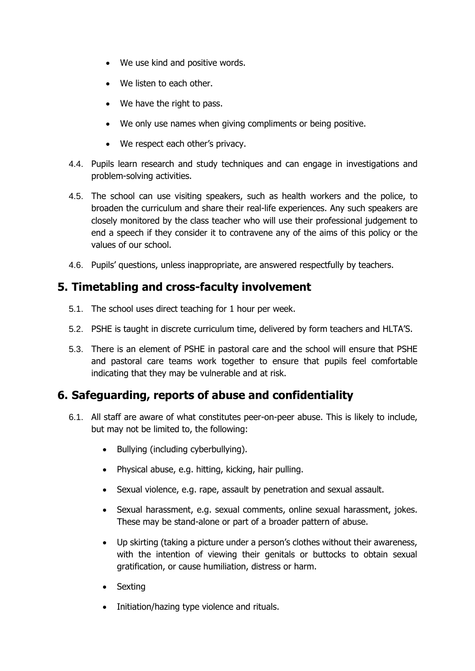- We use kind and positive words.
- We listen to each other.
- We have the right to pass.
- We only use names when giving compliments or being positive.
- We respect each other's privacy.
- 4.4. Pupils learn research and study techniques and can engage in investigations and problem-solving activities.
- 4.5. The school can use visiting speakers, such as health workers and the police, to broaden the curriculum and share their real-life experiences. Any such speakers are closely monitored by the class teacher who will use their professional judgement to end a speech if they consider it to contravene any of the aims of this policy or the values of our school.
- 4.6. Pupils' questions, unless inappropriate, are answered respectfully by teachers.

## <span id="page-5-0"></span>**5. Timetabling and cross-faculty involvement**

- 5.1. The school uses direct teaching for 1 hour per week.
- 5.2. PSHE is taught in discrete curriculum time, delivered by form teachers and HLTA'S.
- 5.3. There is an element of PSHE in pastoral care and the school will ensure that PSHE and pastoral care teams work together to ensure that pupils feel comfortable indicating that they may be vulnerable and at risk.

## <span id="page-5-1"></span>**6. Safeguarding, reports of abuse and confidentiality**

- 6.1. All staff are aware of what constitutes peer-on-peer abuse. This is likely to include, but may not be limited to, the following:
	- Bullying (including cyberbullying).
	- Physical abuse, e.g. hitting, kicking, hair pulling.
	- Sexual violence, e.g. rape, assault by penetration and sexual assault.
	- Sexual harassment, e.g. sexual comments, online sexual harassment, jokes. These may be stand-alone or part of a broader pattern of abuse.
	- Up skirting (taking a picture under a person's clothes without their awareness, with the intention of viewing their genitals or buttocks to obtain sexual gratification, or cause humiliation, distress or harm.
	- Sexting
	- Initiation/hazing type violence and rituals.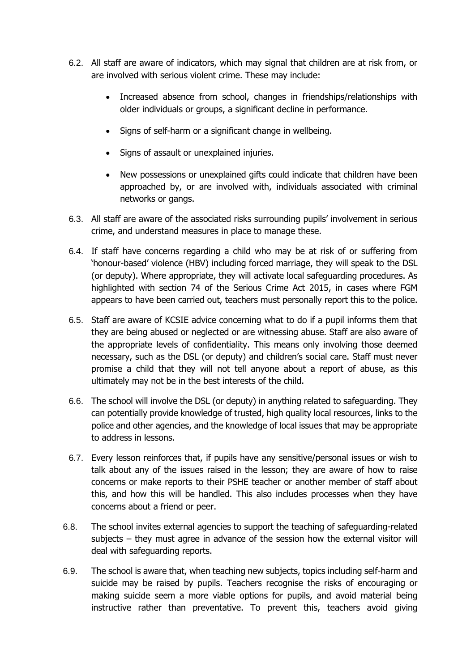- 6.2. All staff are aware of indicators, which may signal that children are at risk from, or are involved with serious violent crime. These may include:
	- Increased absence from school, changes in friendships/relationships with older individuals or groups, a significant decline in performance.
	- Signs of self-harm or a significant change in wellbeing.
	- Signs of assault or unexplained injuries.
	- New possessions or unexplained gifts could indicate that children have been approached by, or are involved with, individuals associated with criminal networks or gangs.
- 6.3. All staff are aware of the associated risks surrounding pupils' involvement in serious crime, and understand measures in place to manage these.
- 6.4. If staff have concerns regarding a child who may be at risk of or suffering from 'honour-based' violence (HBV) including forced marriage, they will speak to the DSL (or deputy). Where appropriate, they will activate local safeguarding procedures. As highlighted with section 74 of the Serious Crime Act 2015, in cases where FGM appears to have been carried out, teachers must personally report this to the police.
- 6.5. Staff are aware of KCSIE advice concerning what to do if a pupil informs them that they are being abused or neglected or are witnessing abuse. Staff are also aware of the appropriate levels of confidentiality. This means only involving those deemed necessary, such as the DSL (or deputy) and children's social care. Staff must never promise a child that they will not tell anyone about a report of abuse, as this ultimately may not be in the best interests of the child.
- 6.6. The school will involve the DSL (or deputy) in anything related to safeguarding. They can potentially provide knowledge of trusted, high quality local resources, links to the police and other agencies, and the knowledge of local issues that may be appropriate to address in lessons.
- 6.7. Every lesson reinforces that, if pupils have any sensitive/personal issues or wish to talk about any of the issues raised in the lesson; they are aware of how to raise concerns or make reports to their PSHE teacher or another member of staff about this, and how this will be handled. This also includes processes when they have concerns about a friend or peer.
- 6.8. The school invites external agencies to support the teaching of safeguarding-related subjects – they must agree in advance of the session how the external visitor will deal with safeguarding reports.
- 6.9. The school is aware that, when teaching new subjects, topics including self-harm and suicide may be raised by pupils. Teachers recognise the risks of encouraging or making suicide seem a more viable options for pupils, and avoid material being instructive rather than preventative. To prevent this, teachers avoid giving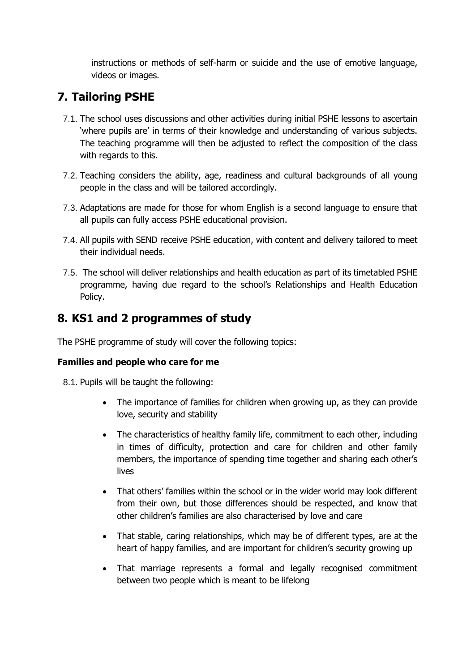instructions or methods of self-harm or suicide and the use of emotive language, videos or images.

## <span id="page-7-0"></span>**7. Tailoring PSHE**

- 7.1. The school uses discussions and other activities during initial PSHE lessons to ascertain 'where pupils are' in terms of their knowledge and understanding of various subjects. The teaching programme will then be adjusted to reflect the composition of the class with regards to this.
- 7.2. Teaching considers the ability, age, readiness and cultural backgrounds of all young people in the class and will be tailored accordingly.
- 7.3. Adaptations are made for those for whom English is a second language to ensure that all pupils can fully access PSHE educational provision.
- 7.4. All pupils with SEND receive PSHE education, with content and delivery tailored to meet their individual needs.
- 7.5. The school will deliver relationships and health education as part of its timetabled PSHE programme, having due regard to the school's Relationships and Health Education Policy.

## **8. KS1 and 2 programmes of study**

The PSHE programme of study will cover the following topics:

#### **Families and people who care for me**

- 8.1. Pupils will be taught the following:
	- The importance of families for children when growing up, as they can provide love, security and stability
	- The characteristics of healthy family life, commitment to each other, including in times of difficulty, protection and care for children and other family members, the importance of spending time together and sharing each other's lives
	- That others' families within the school or in the wider world may look different from their own, but those differences should be respected, and know that other children's families are also characterised by love and care
	- That stable, caring relationships, which may be of different types, are at the heart of happy families, and are important for children's security growing up
	- That marriage represents a formal and legally recognised commitment between two people which is meant to be lifelong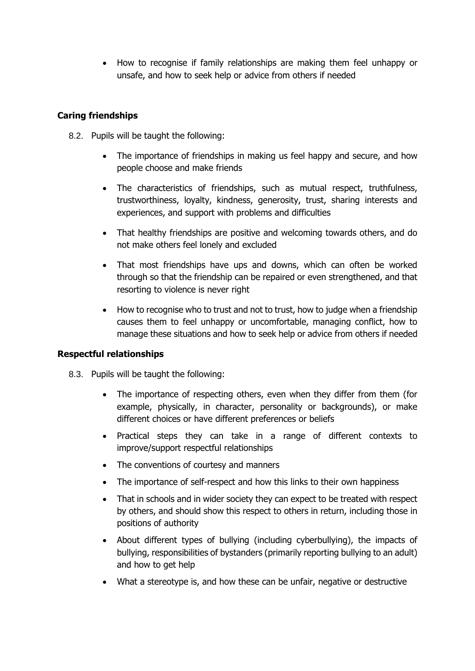• How to recognise if family relationships are making them feel unhappy or unsafe, and how to seek help or advice from others if needed

#### **Caring friendships**

- 8.2. Pupils will be taught the following:
	- The importance of friendships in making us feel happy and secure, and how people choose and make friends
	- The characteristics of friendships, such as mutual respect, truthfulness, trustworthiness, loyalty, kindness, generosity, trust, sharing interests and experiences, and support with problems and difficulties
	- That healthy friendships are positive and welcoming towards others, and do not make others feel lonely and excluded
	- That most friendships have ups and downs, which can often be worked through so that the friendship can be repaired or even strengthened, and that resorting to violence is never right
	- How to recognise who to trust and not to trust, how to judge when a friendship causes them to feel unhappy or uncomfortable, managing conflict, how to manage these situations and how to seek help or advice from others if needed

#### **Respectful relationships**

- 8.3. Pupils will be taught the following:
	- The importance of respecting others, even when they differ from them (for example, physically, in character, personality or backgrounds), or make different choices or have different preferences or beliefs
	- Practical steps they can take in a range of different contexts to improve/support respectful relationships
	- The conventions of courtesy and manners
	- The importance of self-respect and how this links to their own happiness
	- That in schools and in wider society they can expect to be treated with respect by others, and should show this respect to others in return, including those in positions of authority
	- About different types of bullying (including cyberbullying), the impacts of bullying, responsibilities of bystanders (primarily reporting bullying to an adult) and how to get help
	- What a stereotype is, and how these can be unfair, negative or destructive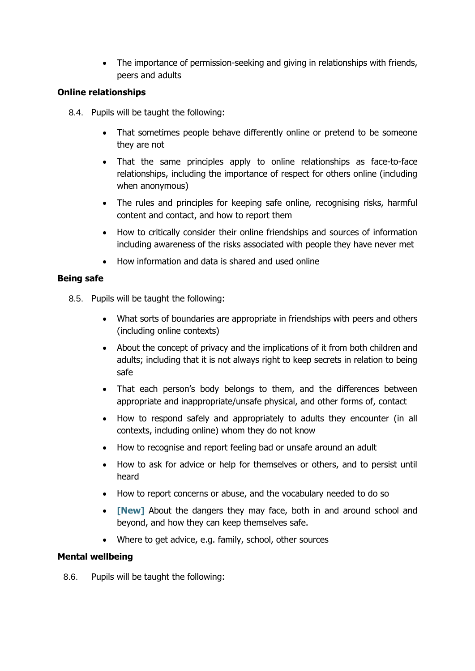• The importance of permission-seeking and giving in relationships with friends, peers and adults

#### **Online relationships**

- 8.4. Pupils will be taught the following:
	- That sometimes people behave differently online or pretend to be someone they are not
	- That the same principles apply to online relationships as face-to-face relationships, including the importance of respect for others online (including when anonymous)
	- The rules and principles for keeping safe online, recognising risks, harmful content and contact, and how to report them
	- How to critically consider their online friendships and sources of information including awareness of the risks associated with people they have never met
	- How information and data is shared and used online

#### **Being safe**

- 8.5. Pupils will be taught the following:
	- What sorts of boundaries are appropriate in friendships with peers and others (including online contexts)
	- About the concept of privacy and the implications of it from both children and adults; including that it is not always right to keep secrets in relation to being safe
	- That each person's body belongs to them, and the differences between appropriate and inappropriate/unsafe physical, and other forms of, contact
	- How to respond safely and appropriately to adults they encounter (in all contexts, including online) whom they do not know
	- How to recognise and report feeling bad or unsafe around an adult
	- How to ask for advice or help for themselves or others, and to persist until heard
	- How to report concerns or abuse, and the vocabulary needed to do so
	- **[New]** About the dangers they may face, both in and around school and beyond, and how they can keep themselves safe.
	- Where to get advice, e.g. family, school, other sources

#### **Mental wellbeing**

8.6. Pupils will be taught the following: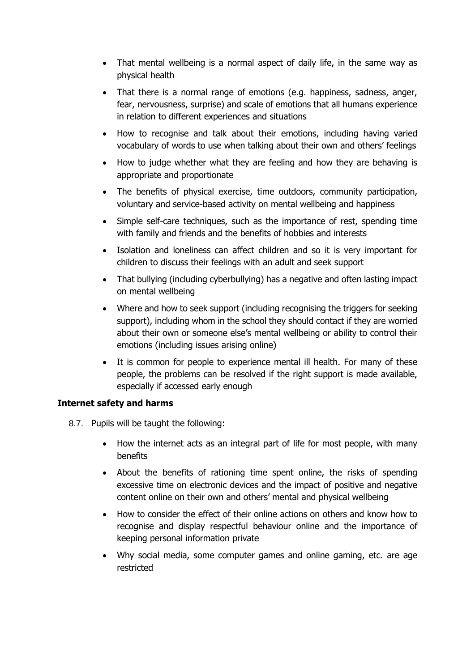- That mental wellbeing is a normal aspect of daily life, in the same way as physical health
- That there is a normal range of emotions (e.g. happiness, sadness, anger, fear, nervousness, surprise) and scale of emotions that all humans experience in relation to different experiences and situations
- How to recognise and talk about their emotions, including having varied vocabulary of words to use when talking about their own and others' feelings
- How to judge whether what they are feeling and how they are behaving is appropriate and proportionate
- The benefits of physical exercise, time outdoors, community participation, voluntary and service-based activity on mental wellbeing and happiness
- Simple self-care techniques, such as the importance of rest, spending time with family and friends and the benefits of hobbies and interests
- Isolation and loneliness can affect children and so it is very important for children to discuss their feelings with an adult and seek support
- That bullying (including cyberbullying) has a negative and often lasting impact on mental wellbeing
- Where and how to seek support (including recognising the triggers for seeking support), including whom in the school they should contact if they are worried about their own or someone else's mental wellbeing or ability to control their emotions (including issues arising online)
- It is common for people to experience mental ill health. For many of these people, the problems can be resolved if the right support is made available, especially if accessed early enough

#### **Internet safety and harms**

- 8.7. Pupils will be taught the following:
	- How the internet acts as an integral part of life for most people, with many benefits
	- About the benefits of rationing time spent online, the risks of spending excessive time on electronic devices and the impact of positive and negative content online on their own and others' mental and physical wellbeing
	- How to consider the effect of their online actions on others and know how to recognise and display respectful behaviour online and the importance of keeping personal information private
	- Why social media, some computer games and online gaming, etc. are age restricted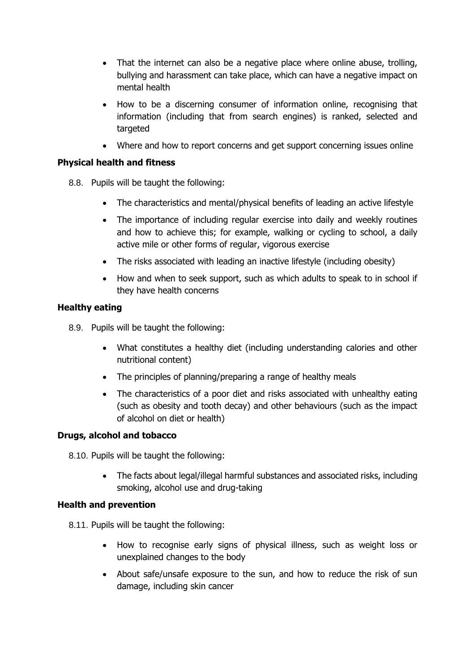- That the internet can also be a negative place where online abuse, trolling, bullying and harassment can take place, which can have a negative impact on mental health
- How to be a discerning consumer of information online, recognising that information (including that from search engines) is ranked, selected and targeted
- Where and how to report concerns and get support concerning issues online

#### **Physical health and fitness**

- 8.8. Pupils will be taught the following:
	- The characteristics and mental/physical benefits of leading an active lifestyle
	- The importance of including regular exercise into daily and weekly routines and how to achieve this; for example, walking or cycling to school, a daily active mile or other forms of regular, vigorous exercise
	- The risks associated with leading an inactive lifestyle (including obesity)
	- How and when to seek support, such as which adults to speak to in school if they have health concerns

#### **Healthy eating**

- 8.9. Pupils will be taught the following:
	- What constitutes a healthy diet (including understanding calories and other nutritional content)
	- The principles of planning/preparing a range of healthy meals
	- The characteristics of a poor diet and risks associated with unhealthy eating (such as obesity and tooth decay) and other behaviours (such as the impact of alcohol on diet or health)

#### **Drugs, alcohol and tobacco**

- 8.10. Pupils will be taught the following:
	- The facts about legal/illegal harmful substances and associated risks, including smoking, alcohol use and drug-taking

#### **Health and prevention**

- 8.11. Pupils will be taught the following:
	- How to recognise early signs of physical illness, such as weight loss or unexplained changes to the body
	- About safe/unsafe exposure to the sun, and how to reduce the risk of sun damage, including skin cancer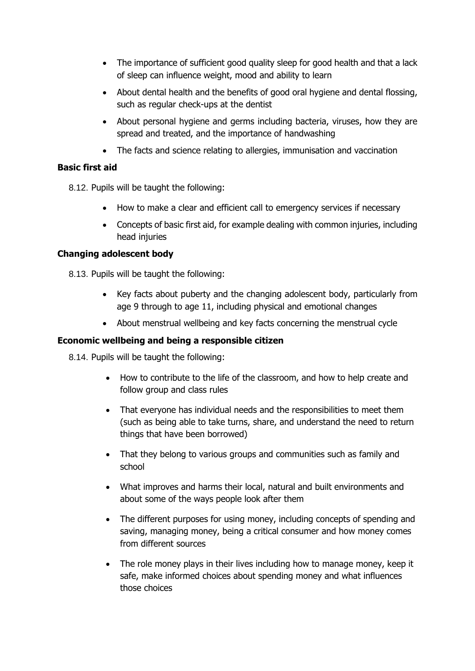- The importance of sufficient good quality sleep for good health and that a lack of sleep can influence weight, mood and ability to learn
- About dental health and the benefits of good oral hygiene and dental flossing, such as regular check-ups at the dentist
- About personal hygiene and germs including bacteria, viruses, how they are spread and treated, and the importance of handwashing
- The facts and science relating to allergies, immunisation and vaccination

#### **Basic first aid**

8.12. Pupils will be taught the following:

- How to make a clear and efficient call to emergency services if necessary
- Concepts of basic first aid, for example dealing with common injuries, including head injuries

#### **Changing adolescent body**

8.13. Pupils will be taught the following:

- Key facts about puberty and the changing adolescent body, particularly from age 9 through to age 11, including physical and emotional changes
- About menstrual wellbeing and key facts concerning the menstrual cycle

#### **Economic wellbeing and being a responsible citizen**

8.14. Pupils will be taught the following:

- How to contribute to the life of the classroom, and how to help create and follow group and class rules
- That everyone has individual needs and the responsibilities to meet them (such as being able to take turns, share, and understand the need to return things that have been borrowed)
- That they belong to various groups and communities such as family and school
- What improves and harms their local, natural and built environments and about some of the ways people look after them
- The different purposes for using money, including concepts of spending and saving, managing money, being a critical consumer and how money comes from different sources
- The role money plays in their lives including how to manage money, keep it safe, make informed choices about spending money and what influences those choices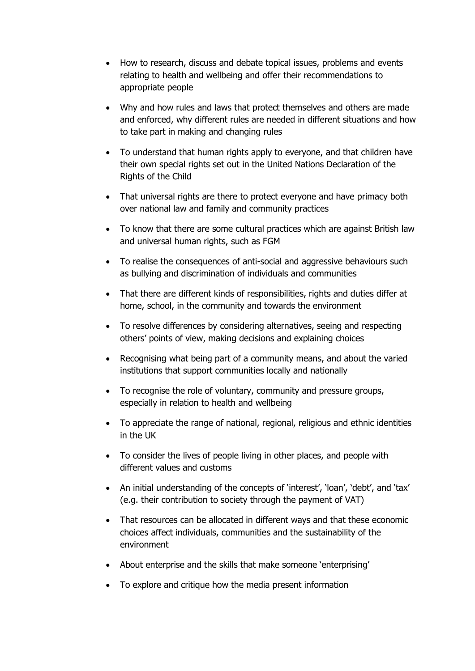- How to research, discuss and debate topical issues, problems and events relating to health and wellbeing and offer their recommendations to appropriate people
- Why and how rules and laws that protect themselves and others are made and enforced, why different rules are needed in different situations and how to take part in making and changing rules
- To understand that human rights apply to everyone, and that children have their own special rights set out in the United Nations Declaration of the Rights of the Child
- That universal rights are there to protect everyone and have primacy both over national law and family and community practices
- To know that there are some cultural practices which are against British law and universal human rights, such as FGM
- To realise the consequences of anti-social and aggressive behaviours such as bullying and discrimination of individuals and communities
- That there are different kinds of responsibilities, rights and duties differ at home, school, in the community and towards the environment
- To resolve differences by considering alternatives, seeing and respecting others' points of view, making decisions and explaining choices
- Recognising what being part of a community means, and about the varied institutions that support communities locally and nationally
- To recognise the role of voluntary, community and pressure groups, especially in relation to health and wellbeing
- To appreciate the range of national, regional, religious and ethnic identities in the UK
- To consider the lives of people living in other places, and people with different values and customs
- An initial understanding of the concepts of 'interest', 'loan', 'debt', and 'tax' (e.g. their contribution to society through the payment of VAT)
- That resources can be allocated in different ways and that these economic choices affect individuals, communities and the sustainability of the environment
- About enterprise and the skills that make someone 'enterprising'
- To explore and critique how the media present information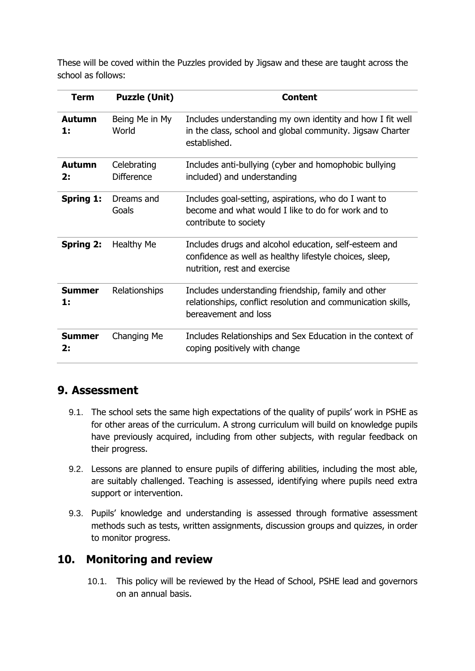These will be coved within the Puzzles provided by Jigsaw and these are taught across the school as follows:

| Term                | <b>Puzzle (Unit)</b>             | <b>Content</b>                                                                                                                                   |
|---------------------|----------------------------------|--------------------------------------------------------------------------------------------------------------------------------------------------|
| <b>Autumn</b><br>1: | Being Me in My<br>World          | Includes understanding my own identity and how I fit well<br>in the class, school and global community. Jigsaw Charter<br>established.           |
| <b>Autumn</b><br>2: | Celebrating<br><b>Difference</b> | Includes anti-bullying (cyber and homophobic bullying<br>included) and understanding                                                             |
| <b>Spring 1:</b>    | Dreams and<br>Goals              | Includes goal-setting, aspirations, who do I want to<br>become and what would I like to do for work and to<br>contribute to society              |
| <b>Spring 2:</b>    | <b>Healthy Me</b>                | Includes drugs and alcohol education, self-esteem and<br>confidence as well as healthy lifestyle choices, sleep,<br>nutrition, rest and exercise |
| <b>Summer</b><br>1: | Relationships                    | Includes understanding friendship, family and other<br>relationships, conflict resolution and communication skills,<br>bereavement and loss      |
| <b>Summer</b><br>2: | Changing Me                      | Includes Relationships and Sex Education in the context of<br>coping positively with change                                                      |

## <span id="page-14-0"></span>**9. Assessment**

- 9.1. The school sets the same high expectations of the quality of pupils' work in PSHE as for other areas of the curriculum. A strong curriculum will build on knowledge pupils have previously acquired, including from other subjects, with regular feedback on their progress.
- 9.2. Lessons are planned to ensure pupils of differing abilities, including the most able, are suitably challenged. Teaching is assessed, identifying where pupils need extra support or intervention.
- 9.3. Pupils' knowledge and understanding is assessed through formative assessment methods such as tests, written assignments, discussion groups and quizzes, in order to monitor progress.

## <span id="page-14-1"></span>**10. Monitoring and review**

10.1. This policy will be reviewed by the Head of School, PSHE lead and governors on an annual basis.